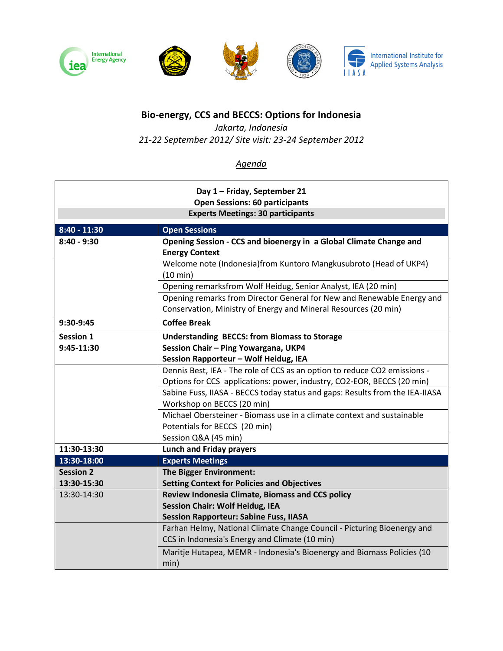

## **Bio-energy, CCS and BECCS: Options for Indonesia**

*Jakarta, Indonesia 21-22 September 2012/ Site visit: 23-24 September 2012*

## *Agenda*

| Day 1 - Friday, September 21<br><b>Open Sessions: 60 participants</b><br><b>Experts Meetings: 30 participants</b> |                                                                                                         |  |  |
|-------------------------------------------------------------------------------------------------------------------|---------------------------------------------------------------------------------------------------------|--|--|
| $8:40 - 11:30$                                                                                                    | <b>Open Sessions</b>                                                                                    |  |  |
| $8:40 - 9:30$                                                                                                     | Opening Session - CCS and bioenergy in a Global Climate Change and<br><b>Energy Context</b>             |  |  |
|                                                                                                                   | Welcome note (Indonesia)from Kuntoro Mangkusubroto (Head of UKP4)<br>(10 min)                           |  |  |
|                                                                                                                   | Opening remarksfrom Wolf Heidug, Senior Analyst, IEA (20 min)                                           |  |  |
|                                                                                                                   | Opening remarks from Director General for New and Renewable Energy and                                  |  |  |
|                                                                                                                   | Conservation, Ministry of Energy and Mineral Resources (20 min)                                         |  |  |
| 9:30-9:45                                                                                                         | <b>Coffee Break</b>                                                                                     |  |  |
| <b>Session 1</b>                                                                                                  | <b>Understanding BECCS: from Biomass to Storage</b>                                                     |  |  |
| 9:45-11:30                                                                                                        | Session Chair - Ping Yowargana, UKP4                                                                    |  |  |
|                                                                                                                   | Session Rapporteur - Wolf Heidug, IEA                                                                   |  |  |
|                                                                                                                   | Dennis Best, IEA - The role of CCS as an option to reduce CO2 emissions -                               |  |  |
|                                                                                                                   | Options for CCS applications: power, industry, CO2-EOR, BECCS (20 min)                                  |  |  |
|                                                                                                                   | Sabine Fuss, IIASA - BECCS today status and gaps: Results from the IEA-IIASA                            |  |  |
|                                                                                                                   | Workshop on BECCS (20 min)                                                                              |  |  |
|                                                                                                                   | Michael Obersteiner - Biomass use in a climate context and sustainable<br>Potentials for BECCS (20 min) |  |  |
|                                                                                                                   | Session Q&A (45 min)                                                                                    |  |  |
| 11:30-13:30                                                                                                       | <b>Lunch and Friday prayers</b>                                                                         |  |  |
| 13:30-18:00                                                                                                       | <b>Experts Meetings</b>                                                                                 |  |  |
| <b>Session 2</b>                                                                                                  | <b>The Bigger Environment:</b>                                                                          |  |  |
| 13:30-15:30                                                                                                       | <b>Setting Context for Policies and Objectives</b>                                                      |  |  |
| 13:30-14:30                                                                                                       | Review Indonesia Climate, Biomass and CCS policy                                                        |  |  |
|                                                                                                                   | <b>Session Chair: Wolf Heidug, IEA</b>                                                                  |  |  |
|                                                                                                                   | <b>Session Rapporteur: Sabine Fuss, IIASA</b>                                                           |  |  |
|                                                                                                                   | Farhan Helmy, National Climate Change Council - Picturing Bioenergy and                                 |  |  |
|                                                                                                                   | CCS in Indonesia's Energy and Climate (10 min)                                                          |  |  |
|                                                                                                                   | Maritje Hutapea, MEMR - Indonesia's Bioenergy and Biomass Policies (10<br>min)                          |  |  |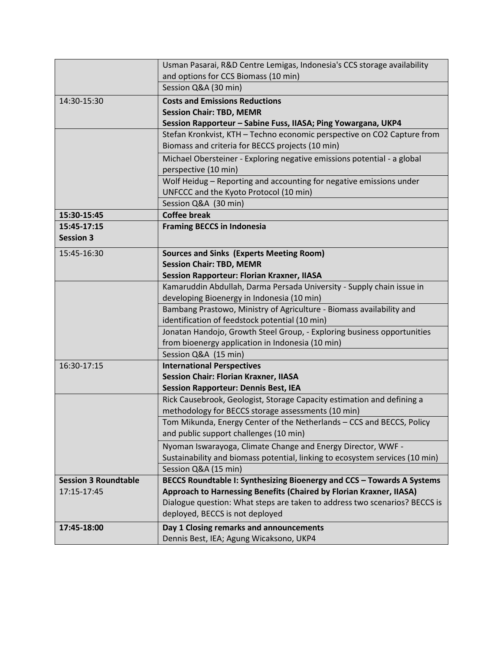|                             | Dennis Best, IEA; Agung Wicaksono, UKP4                                                                                   |
|-----------------------------|---------------------------------------------------------------------------------------------------------------------------|
| 17:45-18:00                 | Day 1 Closing remarks and announcements                                                                                   |
|                             | deployed, BECCS is not deployed                                                                                           |
|                             | Dialogue question: What steps are taken to address two scenarios? BECCS is                                                |
| 17:15-17:45                 | Approach to Harnessing Benefits (Chaired by Florian Kraxner, IIASA)                                                       |
| <b>Session 3 Roundtable</b> | BECCS Roundtable I: Synthesizing Bioenergy and CCS - Towards A Systems                                                    |
|                             | Session Q&A (15 min)                                                                                                      |
|                             | Sustainability and biomass potential, linking to ecosystem services (10 min)                                              |
|                             | Nyoman Iswarayoga, Climate Change and Energy Director, WWF -                                                              |
|                             | and public support challenges (10 min)                                                                                    |
|                             | Tom Mikunda, Energy Center of the Netherlands - CCS and BECCS, Policy                                                     |
|                             | methodology for BECCS storage assessments (10 min)                                                                        |
|                             | Rick Causebrook, Geologist, Storage Capacity estimation and defining a                                                    |
|                             | <b>Session Rapporteur: Dennis Best, IEA</b>                                                                               |
|                             | <b>Session Chair: Florian Kraxner, IIASA</b>                                                                              |
| 16:30-17:15                 | <b>International Perspectives</b>                                                                                         |
|                             | Session Q&A (15 min)                                                                                                      |
|                             | from bioenergy application in Indonesia (10 min)                                                                          |
|                             | identification of feedstock potential (10 min)<br>Jonatan Handojo, Growth Steel Group, - Exploring business opportunities |
|                             | Bambang Prastowo, Ministry of Agriculture - Biomass availability and                                                      |
|                             | developing Bioenergy in Indonesia (10 min)                                                                                |
|                             | Kamaruddin Abdullah, Darma Persada University - Supply chain issue in                                                     |
|                             | <b>Session Rapporteur: Florian Kraxner, IIASA</b>                                                                         |
|                             | <b>Session Chair: TBD, MEMR</b>                                                                                           |
| 15:45-16:30                 | <b>Sources and Sinks (Experts Meeting Room)</b>                                                                           |
| <b>Session 3</b>            |                                                                                                                           |
| 15:45-17:15                 | <b>Framing BECCS in Indonesia</b>                                                                                         |
| 15:30-15:45                 | <b>Coffee break</b>                                                                                                       |
|                             | Session Q&A (30 min)                                                                                                      |
|                             | UNFCCC and the Kyoto Protocol (10 min)                                                                                    |
|                             | Wolf Heidug - Reporting and accounting for negative emissions under                                                       |
|                             | perspective (10 min)                                                                                                      |
|                             | Michael Obersteiner - Exploring negative emissions potential - a global                                                   |
|                             | Biomass and criteria for BECCS projects (10 min)                                                                          |
|                             | Stefan Kronkvist, KTH - Techno economic perspective on CO2 Capture from                                                   |
|                             | Session Rapporteur - Sabine Fuss, IIASA; Ping Yowargana, UKP4                                                             |
|                             | <b>Session Chair: TBD, MEMR</b>                                                                                           |
| 14:30-15:30                 | <b>Costs and Emissions Reductions</b>                                                                                     |
|                             | Session Q&A (30 min)                                                                                                      |
|                             | and options for CCS Biomass (10 min)                                                                                      |
|                             | Usman Pasarai, R&D Centre Lemigas, Indonesia's CCS storage availability                                                   |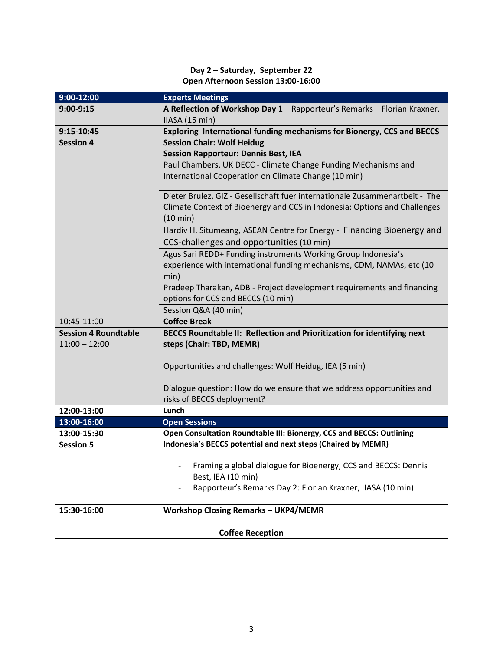|                             | Day 2 - Saturday, September 22<br>Open Afternoon Session 13:00-16:00        |
|-----------------------------|-----------------------------------------------------------------------------|
| $9:00-12:00$                | <b>Experts Meetings</b>                                                     |
| $9:00-9:15$                 | A Reflection of Workshop Day 1 - Rapporteur's Remarks - Florian Kraxner,    |
|                             | IIASA (15 min)                                                              |
| 9:15-10:45                  | Exploring International funding mechanisms for Bionergy, CCS and BECCS      |
| <b>Session 4</b>            | <b>Session Chair: Wolf Heidug</b>                                           |
|                             | <b>Session Rapporteur: Dennis Best, IEA</b>                                 |
|                             | Paul Chambers, UK DECC - Climate Change Funding Mechanisms and              |
|                             | International Cooperation on Climate Change (10 min)                        |
|                             | Dieter Brulez, GIZ - Gesellschaft fuer internationale Zusammenartbeit - The |
|                             | Climate Context of Bioenergy and CCS in Indonesia: Options and Challenges   |
|                             | (10 min)                                                                    |
|                             | Hardiv H. Situmeang, ASEAN Centre for Energy - Financing Bioenergy and      |
|                             | CCS-challenges and opportunities (10 min)                                   |
|                             | Agus Sari REDD+ Funding instruments Working Group Indonesia's               |
|                             | experience with international funding mechanisms, CDM, NAMAs, etc (10       |
|                             | min)                                                                        |
|                             | Pradeep Tharakan, ADB - Project development requirements and financing      |
|                             | options for CCS and BECCS (10 min)                                          |
|                             | Session Q&A (40 min)                                                        |
| 10:45-11:00                 | <b>Coffee Break</b>                                                         |
| <b>Session 4 Roundtable</b> | BECCS Roundtable II: Reflection and Prioritization for identifying next     |
| $11:00 - 12:00$             | steps (Chair: TBD, MEMR)                                                    |
|                             | Opportunities and challenges: Wolf Heidug, IEA (5 min)                      |
|                             | Dialogue question: How do we ensure that we address opportunities and       |
|                             | risks of BECCS deployment?                                                  |
| 12:00-13:00                 | Lunch                                                                       |
| 13:00-16:00                 | <b>Open Sessions</b>                                                        |
| 13:00-15:30                 | Open Consultation Roundtable III: Bionergy, CCS and BECCS: Outlining        |
| <b>Session 5</b>            | Indonesia's BECCS potential and next steps (Chaired by MEMR)                |
|                             |                                                                             |
|                             | Framing a global dialogue for Bioenergy, CCS and BECCS: Dennis              |
|                             | Best, IEA (10 min)                                                          |
|                             | Rapporteur's Remarks Day 2: Florian Kraxner, IIASA (10 min)                 |
| 15:30-16:00                 | <b>Workshop Closing Remarks - UKP4/MEMR</b>                                 |
|                             | <b>Coffee Reception</b>                                                     |